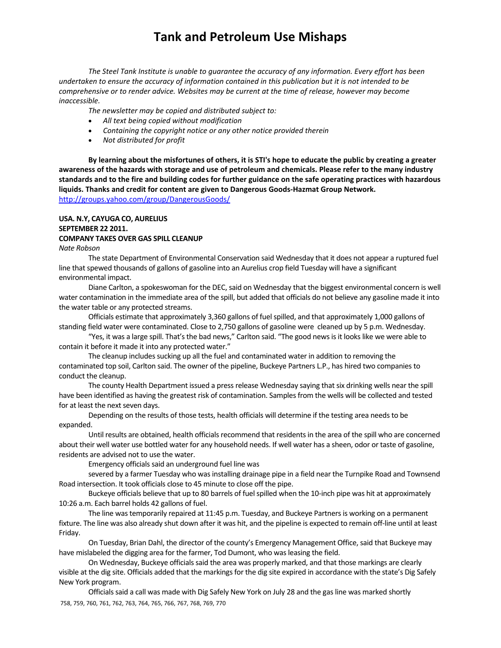*The Steel Tank Institute is unable to guarantee the accuracy of any information. Every effort has been* undertaken to ensure the accuracy of information contained in this publication but it is not intended to be *comprehensive or to render advice. Websites may be current at the time of release, however may become inaccessible.*

*The newsletter may be copied and distributed subject to:*

- *All text being copied without modification*
- *Containing the copyright notice or any other notice provided therein*
- *Not distributed for profit*

By learning about the misfortunes of others, it is STI's hope to educate the public by creating a greater awareness of the hazards with storage and use of petroleum and chemicals. Please refer to the many industry standards and to the fire and building codes for further guidance on the safe operating practices with hazardous **liquids. Thanks and credit for content are given to Dangerous Goods‐Hazmat Group Network.**  http://groups.yahoo.com/group/DangerousGoods/

## **USA. N.Y, CAYUGA CO, AURELIUS SEPTEMBER 22 2011. COMPANY TAKES OVER GAS SPILL CLEANUP**

*Nate Robson*

The state Department of Environmental Conservation said Wednesday that it does not appear a ruptured fuel line that spewed thousands of gallons of gasoline into an Aurelius crop field Tuesday will have a significant environmental impact.

Diane Carlton, a spokeswoman for the DEC, said on Wednesday that the biggest environmental concern is well water contamination in the immediate area of the spill, but added that officials do not believe any gasoline made it into the water table or any protected streams.

Officials estimate that approximately 3,360 gallons of fuelspilled, and that approximately 1,000 gallons of standing field water were contaminated. Close to 2,750 gallons of gasoline were cleaned up by 5 p.m. Wednesday.

"Yes, it was a large spill. That's the bad news," Carlton said. "The good news is it looks like we were able to contain it before it made it into any protected water."

The cleanup includes sucking up all the fuel and contaminated water in addition to removing the contaminated top soil, Carlton said. The owner of the pipeline, Buckeye Partners L.P., has hired two companiesto conduct the cleanup.

The county Health Department issued a press release Wednesday saying that six drinking wells near the spill have been identified as having the greatest risk of contamination. Samples from the wells will be collected and tested for at least the next seven days.

Depending on the results of those tests, health officials will determine if the testing area needs to be expanded.

Until results are obtained, health officials recommend that residents in the area of the spill who are concerned about their well water use bottled water for any household needs. If well water has a sheen, odor or taste of gasoline, residents are advised not to use the water.

Emergency officials said an underground fuel line was

severed by a farmer Tuesday who was installing drainage pipe in a field near the Turnpike Road and Townsend Road intersection. It took officials close to 45 minute to close off the pipe.

Buckeye officials believe that up to 80 barrels of fuel spilled when the 10-inch pipe was hit at approximately 10:26 a.m. Each barrel holds 42 gallons of fuel.

The line wastemporarily repaired at 11:45 p.m. Tuesday, and Buckeye Partnersis working on a permanent fixture. The line was also already shut down after it was hit, and the pipeline is expected to remain off-line until at least Friday.

On Tuesday, Brian Dahl, the director of the county's Emergency Management Office, said that Buckeye may have mislabeled the digging area for the farmer, Tod Dumont, who was leasing the field.

On Wednesday, Buckeye officialssaid the area was properly marked, and that those markings are clearly visible at the dig site. Officials added that the markings for the dig site expired in accordance with the state's Dig Safely New York program.

758, 759, 760, 761, 762, 763, 764, 765, 766, 767, 768, 769, 770 Officials said a call was made with Dig Safely New York on July 28 and the gas line was marked shortly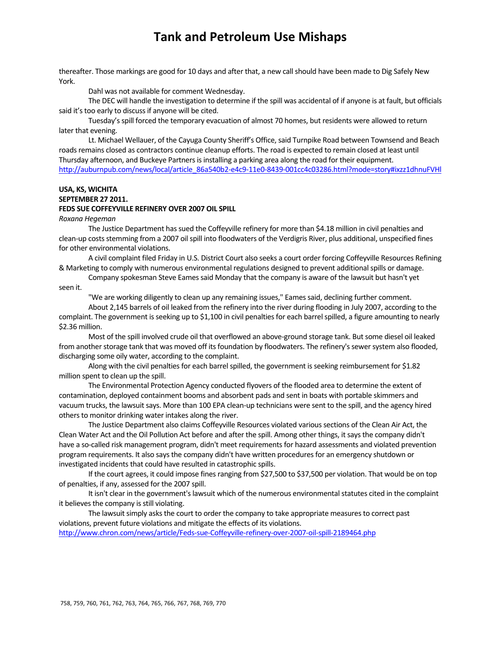thereafter. Those markings are good for 10 days and after that, a new call should have been made to Dig Safely New York.

Dahl was not available for comment Wednesday.

The DEC will handle the investigation to determine if the spill was accidental of if anyone is at fault, but officials said it's too early to discuss if anyone will be cited.

Tuesday'sspill forced the temporary evacuation of almost 70 homes, but residents were allowed to return later that evening.

Lt. Michael Wellauer, of the Cayuga County Sheriff's Office, said Turnpike Road between Townsend and Beach roads remains closed as contractors continue cleanup efforts. The road is expected to remain closed at least until Thursday afternoon, and Buckeye Partnersisinstalling a parking area along the road for their equipment. http://auburnpub.com/news/local/article\_86a540b2-e4c9-11e0-8439-001cc4c03286.html?mode=story#ixzz1dhnuFVHl

### **USA, KS, WICHITA SEPTEMBER 27 2011. FEDS SUE COFFEYVILLE REFINERY OVER 2007 OIL SPILL**

*Roxana Hegeman*

The Justice Department has sued the Coffeyville refinery for more than \$4.18 million in civil penalties and clean-up costs stemming from a 2007 oil spill into floodwaters of the Verdigris River, plus additional, unspecified fines for other environmental violations.

A civil complaint filed Friday in U.S. District Court also seeks a court order forcing Coffeyville Resources Refining & Marketing to comply with numerous environmental regulations designed to prevent additionalspills or damage.

Company spokesman Steve Eamessaid Monday that the company is aware of the lawsuit but hasn't yet seen it.

"We are working diligently to clean up any remaining issues," Eames said, declining further comment.

About 2,145 barrels of oil leaked from the refinery into the river during flooding in July 2007, according to the complaint. The government is seeking up to \$1,100 in civil penalties for each barrel spilled, a figure amounting to nearly \$2.36 million.

Most of the spill involved crude oil that overflowed an above-ground storage tank. But some diesel oil leaked from another storage tank that was moved off its foundation by floodwaters. The refinery's sewer system also flooded, discharging some oily water, according to the complaint.

Along with the civil penalties for each barrel spilled, the government is seeking reimbursement for \$1.82 million spent to clean up the spill.

The Environmental Protection Agency conducted flyovers of the flooded area to determine the extent of contamination, deployed containment booms and absorbent pads and sent in boats with portable skimmers and vacuum trucks, the lawsuit says. More than 100 EPA clean-up technicians were sent to the spill, and the agency hired others to monitor drinking water intakes along the river.

The Justice Department also claims Coffeyville Resources violated varioussections of the Clean Air Act, the Clean Water Act and the Oil Pollution Act before and after the spill. Among other things, it says the company didn't have a so-called risk management program, didn't meet requirements for hazard assessments and violated prevention program requirements. It also says the company didn't have written procedures for an emergency shutdown or investigated incidents that could have resulted in catastrophic spills.

If the court agrees, it could impose fines ranging from \$27,500 to \$37,500 per violation. That would be on top of penalties, if any, assessed for the 2007 spill.

It isn't clear in the government's lawsuit which of the numerous environmental statutes cited in the complaint it believes the company is still violating.

The lawsuit simply asks the court to order the company to take appropriate measures to correct past violations, prevent future violations and mitigate the effects of its violations. http://www.chron.com/news/article/Feds‐sue‐Coffeyville‐refinery‐over‐2007‐oil‐spill‐2189464.php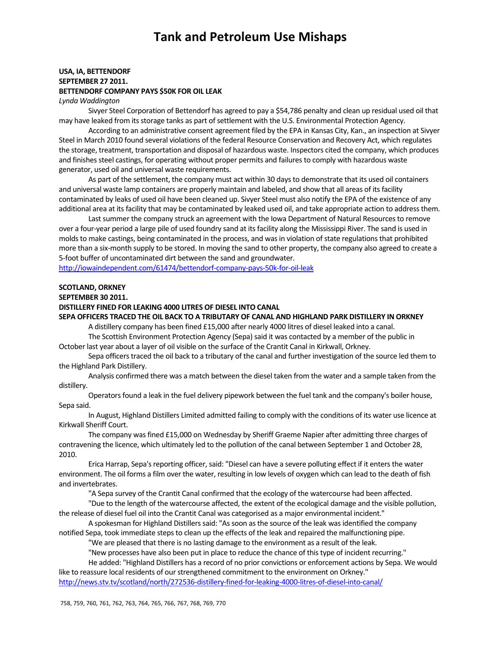### **USA, IA, BETTENDORF SEPTEMBER 27 2011. BETTENDORF COMPANY PAYS \$50K FOR OIL LEAK**

*Lynda Waddington*

Sivyer Steel Corporation of Bettendorf has agreed to pay a \$54,786 penalty and clean up residual used oil that may have leaked from its storage tanks as part of settlement with the U.S. Environmental Protection Agency.

According to an administrative consent agreement filed by the EPA in Kansas City, Kan., an inspection at Sivyer Steel in March 2010 found several violations of the federal Resource Conservation and Recovery Act, which regulates the storage, treatment, transportation and disposal of hazardous waste. Inspectors cited the company, which produces and finishes steel castings, for operating without proper permits and failures to comply with hazardous waste generator, used oil and universal waste requirements.

As part of the settlement, the company must act within 30 days to demonstrate that its used oil containers and universal waste lamp containers are properly maintain and labeled, and show that all areas of its facility contaminated by leaks of used oil have been cleaned up. Sivyer Steel must also notify the EPA of the existence of any additional area at its facility that may be contaminated by leaked used oil, and take appropriate action to address them.

Last summer the company struck an agreement with the Iowa Department of Natural Resources to remove over a four‐year period a large pile of used foundry sand at itsfacility along the Mississippi River. The sand is used in molds to make castings, being contaminated in the process, and was in violation of state regulations that prohibited more than a six-month supply to be stored. In moving the sand to other property, the company also agreed to create a 5‐foot buffer of uncontaminated dirt between the sand and groundwater.

http://iowaindependent.com/61474/bettendorf-company-pays-50k-for-oil-leak

## **SCOTLAND, ORKNEY**

**SEPTEMBER 30 2011.** 

## **DISTILLERY FINED FOR LEAKING 4000 LITRES OF DIESEL INTO CANAL**

**SEPA OFFICERS TRACED THE OIL BACK TO A TRIBUTARY OF CANAL AND HIGHLAND PARK DISTILLERY IN ORKNEY**

A distillery company has been fined £15,000 after nearly 4000 litres of diesel leaked into a canal.

The Scottish Environment Protection Agency (Sepa) said it was contacted by a member of the public in October last year about a layer of oil visible on the surface of the Crantit Canal in Kirkwall, Orkney.

Sepa officers traced the oil back to a tributary of the canal and further investigation of the source led them to the Highland Park Distillery.

Analysis confirmed there was a match between the diesel taken from the water and a sample taken from the distillery.

Operators found a leak in the fuel delivery pipework between the fuel tank and the company's boiler house, Sepa said.

In August, Highland Distillers Limited admitted failing to comply with the conditions of its water use licence at Kirkwall Sheriff Court.

The company wasfined £15,000 on Wednesday by Sheriff Graeme Napier after admitting three charges of contravening the licence, which ultimately led to the pollution of the canal between September 1 and October 28, 2010.

Erica Harrap, Sepa's reporting officer, said: "Diesel can have a severe polluting effect if it enters the water environment. The oil forms a film over the water, resulting in low levels of oxygen which can lead to the death of fish and invertebrates.

"A Sepa survey of the Crantit Canal confirmed that the ecology of the watercourse had been affected.

"Due to the length of the watercourse affected, the extent of the ecological damage and the visible pollution, the release of diesel fuel oil into the Crantit Canal was categorised as a major environmental incident."

A spokesman for Highland Distillers said: "As soon as the source of the leak was identified the company notified Sepa, took immediate steps to clean up the effects of the leak and repaired the malfunctioning pipe.

"We are pleased that there is no lasting damage to the environment as a result of the leak.

"New processes have also been put in place to reduce the chance of thistype of incident recurring."

He added: "Highland Distillers has a record of no prior convictions or enforcement actions by Sepa. We would like to reassure local residents of our strengthened commitment to the environment on Orkney." http://news.stv.tv/scotland/north/272536-distillery-fined-for-leaking-4000-litres-of-diesel-into-canal/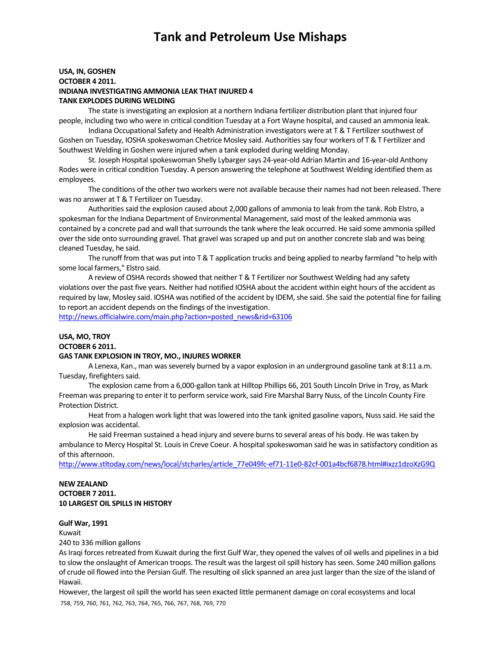## **USA, IN, GOSHEN OCTOBER 4 2011. INDIANA INVESTIGATING AMMONIA LEAK THAT INJURED 4 TANK EXPLODES DURING WELDING**

The state is investigating an explosion at a northern Indiana fertilizer distribution plant that injured four people, including two who were in critical condition Tuesday at a Fort Wayne hospital, and caused an ammonia leak.

Indiana Occupational Safety and Health Administration investigators were at T & T Fertilizer southwest of Goshen on Tuesday, IOSHA spokeswoman Chetrice Mosley said. Authoritiessay four workers of T & T Fertilizer and Southwest Welding in Goshen were injured when a tank exploded during welding Monday.

St. Joseph Hospital spokeswoman Shelly Lybarger says 24‐year‐old Adrian Martin and 16‐year‐old Anthony Rodes were in critical condition Tuesday. A person answering the telephone at Southwest Welding identified them as employees.

The conditions of the other two workers were not available because their names had not been released. There was no answer at T & T Fertilizer on Tuesday.

Authorities said the explosion caused about 2,000 gallons of ammonia to leak from the tank. Rob Elstro, a spokesman for the Indiana Department of Environmental Management, said most of the leaked ammonia was contained by a concrete pad and wall that surrounds the tank where the leak occurred. He said some ammonia spilled over the side onto surrounding gravel. That gravel wasscraped up and put on another concrete slab and was being cleaned Tuesday, he said.

The runoff from that was put into T & T application trucks and being applied to nearby farmland "to help with some local farmers," Elstro said.

A review of OSHA records showed that neither T & T Fertilizer nor Southwest Welding had any safety violations over the past five years. Neither had notified IOSHA about the accident within eight hours of the accident as required by law, Mosley said. IOSHA was notified of the accident by IDEM, she said. She said the potential fine for failing to report an accident depends on the findings of the investigation.

http://news.officialwire.com/main.php?action=posted\_news&rid=63106

## **USA, MO, TROY OCTOBER 6 2011.**

#### **GAS TANK EXPLOSION IN TROY, MO., INJURES WORKER**

A Lenexa, Kan., man wasseverely burned by a vapor explosion in an underground gasoline tank at 8:11 a.m. Tuesday, firefighters said.

The explosion came from a 6,000‐gallon tank at Hilltop Phillips 66, 201 South Lincoln Drive in Troy, as Mark Freeman was preparing to enter it to perform service work, said Fire Marshal Barry Nuss, of the Lincoln County Fire Protection District.

Heat from a halogen work light that was lowered into the tank ignited gasoline vapors, Nuss said. He said the explosion was accidental.

He said Freeman sustained a head injury and severe burns to several areas of his body. He was taken by ambulance to Mercy Hospital St. Louis in Creve Coeur. A hospital spokeswoman said he was in satisfactory condition as of this afternoon.

http://www.stltoday.com/news/local/stcharles/article\_77e049fc-ef71-11e0-82cf-001a4bcf6878.html#ixzz1dzoXzG9Q

### **NEW ZEALAND OCTOBER 7 2011. 10 LARGEST OIL SPILLS IN HISTORY**

### **Gulf War, 1991**

Kuwait

240 to 336 million gallons

As Iraqi forces retreated from Kuwait during the first Gulf War, they opened the valves of oil wells and pipelines in a bid to slow the onslaught of American troops. The result was the largest oil spill history has seen. Some 240 million gallons of crude oil flowed into the Persian Gulf. The resulting oilslick spanned an area just larger than the size of the island of Hawaii.

758, 759, 760, 761, 762, 763, 764, 765, 766, 767, 768, 769, 770 However, the largest oil spill the world has seen exacted little permanent damage on coral ecosystems and local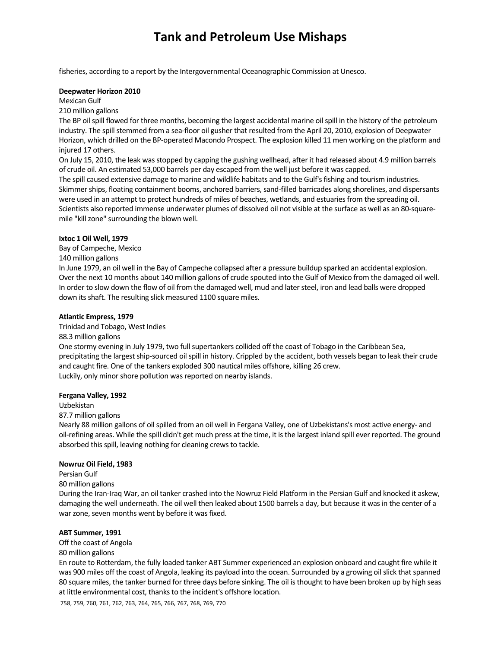fisheries, according to a report by the Intergovernmental Oceanographic Commission at Unesco.

#### **Deepwater Horizon 2010**

Mexican Gulf

210 million gallons

The BP oil spill flowed for three months, becoming the largest accidental marine oil spill in the history of the petroleum industry. The spill stemmed from a sea-floor oil gusher that resulted from the April 20, 2010, explosion of Deepwater Horizon, which drilled on the BP-operated Macondo Prospect. The explosion killed 11 men working on the platform and injured 17 others.

On July 15, 2010, the leak wasstopped by capping the gushing wellhead, after it had released about 4.9 million barrels of crude oil. An estimated 53,000 barrels per day escaped from the well just before it was capped.

The spill caused extensive damage to marine and wildlife habitats and to the Gulf's fishing and tourism industries. Skimmer ships, floating containment booms, anchored barriers, sand-filled barricades along shorelines, and dispersants were used in an attempt to protect hundreds of miles of beaches, wetlands, and estuaries from the spreading oil. Scientists also reported immense underwater plumes of dissolved oil not visible at the surface as well as an 80‐square‐ mile "kill zone" surrounding the blown well.

#### **Ixtoc 1 Oil Well, 1979**

Bay of Campeche, Mexico

140 million gallons

In June 1979, an oil well in the Bay of Campeche collapsed after a pressure buildup sparked an accidental explosion. Over the next 10 months about 140 million gallons of crude spouted into the Gulf of Mexico from the damaged oil well. In order to slow down the flow of oil from the damaged well, mud and later steel, iron and lead balls were dropped down its shaft. The resulting slick measured 1100 square miles.

#### **Atlantic Empress, 1979**

Trinidad and Tobago, West Indies

#### 88.3 million gallons

One stormy evening in July 1979, two full supertankers collided off the coast of Tobago in the Caribbean Sea, precipitating the largest ship-sourced oil spill in history. Crippled by the accident, both vessels began to leak their crude and caught fire. One of the tankers exploded 300 nautical miles offshore, killing 26 crew. Luckily, only minor shore pollution was reported on nearby islands.

#### **Fergana Valley, 1992**

Uzbekistan

#### 87.7 million gallons

Nearly 88 million gallons of oil spilled from an oil well in Fergana Valley, one of Uzbekistans's most active energy- and oil-refining areas. While the spill didn't get much press at the time, it is the largest inland spill ever reported. The ground absorbed this spill, leaving nothing for cleaning crews to tackle.

#### **Nowruz Oil Field, 1983**

Persian Gulf

#### 80 million gallons

During the Iran‐Iraq War, an oil tanker crashed into the Nowruz Field Platform in the Persian Gulf and knocked it askew, damaging the well underneath. The oil well then leaked about 1500 barrels a day, but because it was in the center of a war zone, seven months went by before it was fixed.

### **ABT Summer, 1991**

Off the coast of Angola

#### 80 million gallons

En route to Rotterdam, the fully loaded tanker ABT Summer experienced an explosion onboard and caught fire while it was 900 miles off the coast of Angola, leaking its payload into the ocean. Surrounded by a growing oil slick that spanned 80 square miles, the tanker burned for three days before sinking. The oil isthought to have been broken up by high seas at little environmental cost, thanks to the incident's offshore location.

758, 759, 760, 761, 762, 763, 764, 765, 766, 767, 768, 769, 770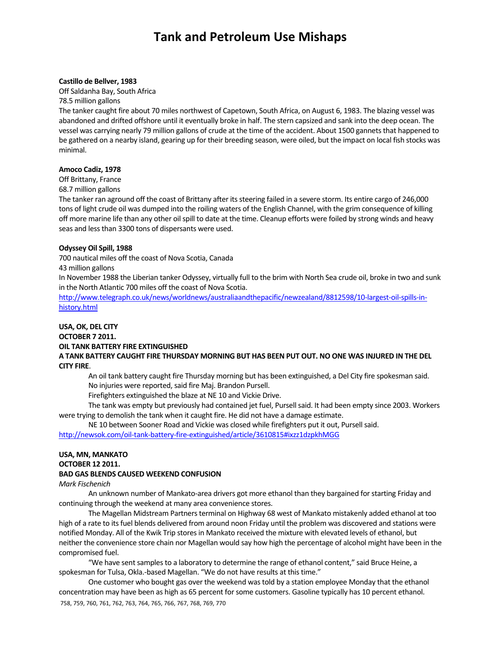#### **Castillo de Bellver, 1983**

Off Saldanha Bay, South Africa 78.5 million gallons

The tanker caught fire about 70 miles northwest of Capetown, South Africa, on August 6, 1983. The blazing vessel was abandoned and drifted offshore until it eventually broke in half. The stern capsized and sank into the deep ocean. The vessel was carrying nearly 79 million gallons of crude at the time of the accident. About 1500 gannets that happened to be gathered on a nearby island, gearing up for their breeding season, were oiled, but the impact on local fish stocks was minimal.

### **Amoco Cadiz, 1978**

Off Brittany, France

68.7 million gallons

The tanker ran aground off the coast of Brittany after its steering failed in a severe storm. Its entire cargo of 246,000 tons of light crude oil was dumped into the roiling waters of the English Channel, with the grim consequence of killing off more marine life than any other oil spill to date at the time. Cleanup efforts were foiled by strong winds and heavy seas and less than 3300 tons of dispersants were used.

## **Odyssey Oil Spill, 1988**

700 nautical miles off the coast of Nova Scotia, Canada

43 million gallons

In November 1988 the Liberian tanker Odyssey, virtually full to the brim with North Sea crude oil, broke in two and sunk in the North Atlantic 700 miles off the coast of Nova Scotia.

http://www.telegraph.co.uk/news/worldnews/australiaandthepacific/newzealand/8812598/10-largest-oil-spills-inhistory.html

### **USA, OK, DEL CITY OCTOBER 7 2011. OIL TANK BATTERY FIRE EXTINGUISHED**

A TANK BATTERY CAUGHT FIRE THURSDAY MORNING BUT HAS BEEN PUT OUT. NO ONE WAS INJURED IN THE DEL **CITY FIRE**.

An oil tank battery caught fire Thursday morning but has been extinguished, a Del City fire spokesman said. No injuries were reported, said fire Maj. Brandon Pursell.

Firefighters extinguished the blaze at NE 10 and Vickie Drive.

The tank was empty but previously had contained jet fuel, Pursell said. It had been empty since 2003. Workers were trying to demolish the tank when it caught fire. He did not have a damage estimate.

NE 10 between Sooner Road and Vickie was closed while firefighters put it out, Pursellsaid.

http://newsok.com/oil‐tank‐battery‐fire‐extinguished/article/3610815#ixzz1dzpkhMGG

## **USA, MN, MANKATO**

**OCTOBER 12 2011.** 

## **BAD GAS BLENDS CAUSED WEEKEND CONFUSION**

### *Mark Fischenich*

An unknown number of Mankato‐area drivers got more ethanol than they bargained forstarting Friday and continuing through the weekend at many area convenience stores.

The Magellan Midstream Partners terminal on Highway 68 west of Mankato mistakenly added ethanol at too high of a rate to its fuel blends delivered from around noon Friday until the problem was discovered and stations were notified Monday. All of the Kwik Trip storesin Mankato received the mixture with elevated levels of ethanol, but neither the convenience store chain nor Magellan would say how high the percentage of alcohol might have been in the compromised fuel.

"We have sent samples to a laboratory to determine the range of ethanol content," said Bruce Heine, a spokesman for Tulsa, Okla.-based Magellan. "We do not have results at this time."

758, 759, 760, 761, 762, 763, 764, 765, 766, 767, 768, 769, 770 One customer who bought gas over the weekend was told by a station employee Monday that the ethanol concentration may have been as high as 65 percent for some customers. Gasoline typically has 10 percent ethanol.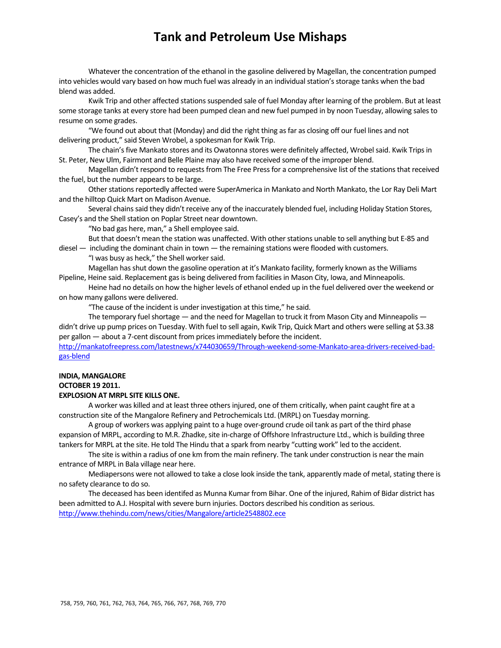Whatever the concentration of the ethanol in the gasoline delivered by Magellan, the concentration pumped into vehicles would vary based on how much fuel was already in an individualstation'sstorage tanks when the bad blend was added.

Kwik Trip and other affected stations suspended sale of fuel Monday after learning of the problem. But at least some storage tanks at every store had been pumped clean and new fuel pumped in by noon Tuesday, allowing salesto resume on some grades.

"We found out about that (Monday) and did the right thing as far as closing off our fuel lines and not delivering product," said Steven Wrobel, a spokesman for Kwik Trip.

The chain's five Mankato stores and its Owatonna stores were definitely affected, Wrobel said. Kwik Trips in St. Peter, New Ulm, Fairmont and Belle Plaine may also have received some of the improper blend.

Magellan didn't respond to requests from The Free Press for a comprehensive list of the stations that received the fuel, but the number appears to be large.

Other stations reportedly affected were SuperAmerica in Mankato and North Mankato, the Lor Ray Deli Mart and the hilltop Quick Mart on Madison Avenue.

Several chains said they didn't receive any of the inaccurately blended fuel, including Holiday Station Stores, Casey's and the Shell station on Poplar Street near downtown.

"No bad gas here, man," a Shell employee said.

But that doesn't mean the station was unaffected. With other stations unable to sell anything but E-85 and

diesel — including the dominant chain in town — the remaining stations were flooded with customers.

"I was busy as heck," the Shell workersaid.

Magellan has shut down the gasoline operation at it's Mankato facility, formerly known as the Williams Pipeline, Heine said. Replacement gas is being delivered from facilities in Mason City, Iowa, and Minneapolis.

Heine had no details on how the higher levels of ethanol ended up in the fuel delivered over the weekend or on how many gallons were delivered.

"The cause of the incident is under investigation at this time," he said.

The temporary fuel shortage  $-$  and the need for Magellan to truck it from Mason City and Minneapolis  $$ didn't drive up pump prices on Tuesday. With fuel to sell again, Kwik Trip, Quick Mart and others were selling at \$3.38 per gallon — about a 7‐cent discount from pricesimmediately before the incident.

http://mankatofreepress.com/latestnews/x744030659/Through-weekend-some-Mankato-area-drivers-received-badgas‐blend

#### **INDIA, MANGALORE OCTOBER 19 2011.**

## **EXPLOSION AT MRPL SITE KILLS ONE.**

A worker was killed and at least three othersinjured, one of them critically, when paint caught fire at a construction site of the Mangalore Refinery and Petrochemicals Ltd. (MRPL) on Tuesday morning.

A group of workers was applying paint to a huge over‐ground crude oil tank as part of the third phase expansion of MRPL, according to M.R. Zhadke, site in-charge of Offshore Infrastructure Ltd., which is building three tankers for MRPL at the site. He told The Hindu that a spark from nearby "cutting work" led to the accident.

The site is within a radius of one km from the main refinery. The tank under construction is near the main entrance of MRPL in Bala village near here.

Mediapersons were not allowed to take a close look inside the tank, apparently made of metal, stating there is no safety clearance to do so.

The deceased has been identifed as Munna Kumar from Bihar. One of the injured, Rahim of Bidar district has been admitted to A.J. Hospital with severe burn injuries. Doctors described his condition asserious. http://www.thehindu.com/news/cities/Mangalore/article2548802.ece